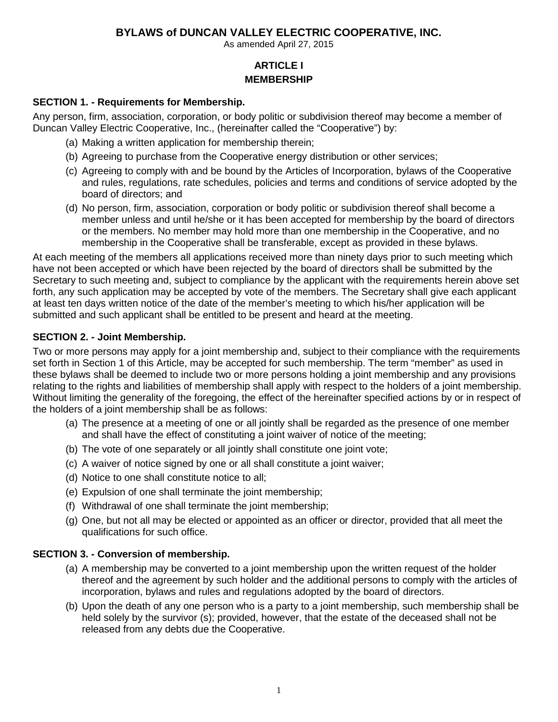As amended April 27, 2015

# **ARTICLE I MEMBERSHIP**

#### **SECTION 1. - Requirements for Membership.**

Any person, firm, association, corporation, or body politic or subdivision thereof may become a member of Duncan Valley Electric Cooperative, Inc., (hereinafter called the "Cooperative") by:

- (a) Making a written application for membership therein;
- (b) Agreeing to purchase from the Cooperative energy distribution or other services;
- (c) Agreeing to comply with and be bound by the Articles of Incorporation, bylaws of the Cooperative and rules, regulations, rate schedules, policies and terms and conditions of service adopted by the board of directors; and
- (d) No person, firm, association, corporation or body politic or subdivision thereof shall become a member unless and until he/she or it has been accepted for membership by the board of directors or the members. No member may hold more than one membership in the Cooperative, and no membership in the Cooperative shall be transferable, except as provided in these bylaws.

At each meeting of the members all applications received more than ninety days prior to such meeting which have not been accepted or which have been rejected by the board of directors shall be submitted by the Secretary to such meeting and, subject to compliance by the applicant with the requirements herein above set forth, any such application may be accepted by vote of the members. The Secretary shall give each applicant at least ten days written notice of the date of the member's meeting to which his/her application will be submitted and such applicant shall be entitled to be present and heard at the meeting.

## **SECTION 2. - Joint Membership.**

Two or more persons may apply for a joint membership and, subject to their compliance with the requirements set forth in Section 1 of this Article, may be accepted for such membership. The term "member" as used in these bylaws shall be deemed to include two or more persons holding a joint membership and any provisions relating to the rights and liabilities of membership shall apply with respect to the holders of a joint membership. Without limiting the generality of the foregoing, the effect of the hereinafter specified actions by or in respect of the holders of a joint membership shall be as follows:

- (a) The presence at a meeting of one or all jointly shall be regarded as the presence of one member and shall have the effect of constituting a joint waiver of notice of the meeting;
- (b) The vote of one separately or all jointly shall constitute one joint vote;
- (c) A waiver of notice signed by one or all shall constitute a joint waiver;
- (d) Notice to one shall constitute notice to all;
- (e) Expulsion of one shall terminate the joint membership;
- (f) Withdrawal of one shall terminate the joint membership;
- (g) One, but not all may be elected or appointed as an officer or director, provided that all meet the qualifications for such office.

## **SECTION 3. - Conversion of membership.**

- (a) A membership may be converted to a joint membership upon the written request of the holder thereof and the agreement by such holder and the additional persons to comply with the articles of incorporation, bylaws and rules and regulations adopted by the board of directors.
- (b) Upon the death of any one person who is a party to a joint membership, such membership shall be held solely by the survivor (s); provided, however, that the estate of the deceased shall not be released from any debts due the Cooperative.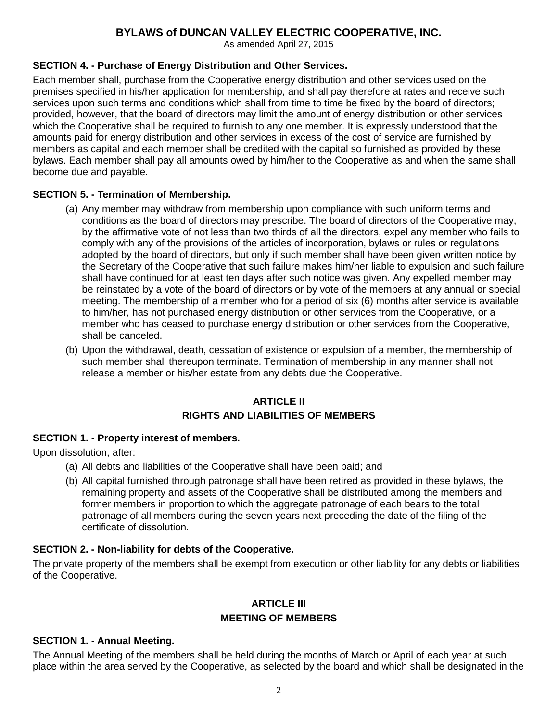As amended April 27, 2015

#### **SECTION 4. - Purchase of Energy Distribution and Other Services.**

Each member shall, purchase from the Cooperative energy distribution and other services used on the premises specified in his/her application for membership, and shall pay therefore at rates and receive such services upon such terms and conditions which shall from time to time be fixed by the board of directors; provided, however, that the board of directors may limit the amount of energy distribution or other services which the Cooperative shall be required to furnish to any one member. It is expressly understood that the amounts paid for energy distribution and other services in excess of the cost of service are furnished by members as capital and each member shall be credited with the capital so furnished as provided by these bylaws. Each member shall pay all amounts owed by him/her to the Cooperative as and when the same shall become due and payable.

#### **SECTION 5. - Termination of Membership.**

- (a) Any member may withdraw from membership upon compliance with such uniform terms and conditions as the board of directors may prescribe. The board of directors of the Cooperative may, by the affirmative vote of not less than two thirds of all the directors, expel any member who fails to comply with any of the provisions of the articles of incorporation, bylaws or rules or regulations adopted by the board of directors, but only if such member shall have been given written notice by the Secretary of the Cooperative that such failure makes him/her liable to expulsion and such failure shall have continued for at least ten days after such notice was given. Any expelled member may be reinstated by a vote of the board of directors or by vote of the members at any annual or special meeting. The membership of a member who for a period of six (6) months after service is available to him/her, has not purchased energy distribution or other services from the Cooperative, or a member who has ceased to purchase energy distribution or other services from the Cooperative, shall be canceled.
- (b) Upon the withdrawal, death, cessation of existence or expulsion of a member, the membership of such member shall thereupon terminate. Termination of membership in any manner shall not release a member or his/her estate from any debts due the Cooperative.

## **ARTICLE II RIGHTS AND LIABILITIES OF MEMBERS**

#### **SECTION 1. - Property interest of members.**

Upon dissolution, after:

- (a) All debts and liabilities of the Cooperative shall have been paid; and
- (b) All capital furnished through patronage shall have been retired as provided in these bylaws, the remaining property and assets of the Cooperative shall be distributed among the members and former members in proportion to which the aggregate patronage of each bears to the total patronage of all members during the seven years next preceding the date of the filing of the certificate of dissolution.

## **SECTION 2. - Non-liability for debts of the Cooperative.**

The private property of the members shall be exempt from execution or other liability for any debts or liabilities of the Cooperative.

## **ARTICLE III MEETING OF MEMBERS**

#### **SECTION 1. - Annual Meeting.**

The Annual Meeting of the members shall be held during the months of March or April of each year at such place within the area served by the Cooperative, as selected by the board and which shall be designated in the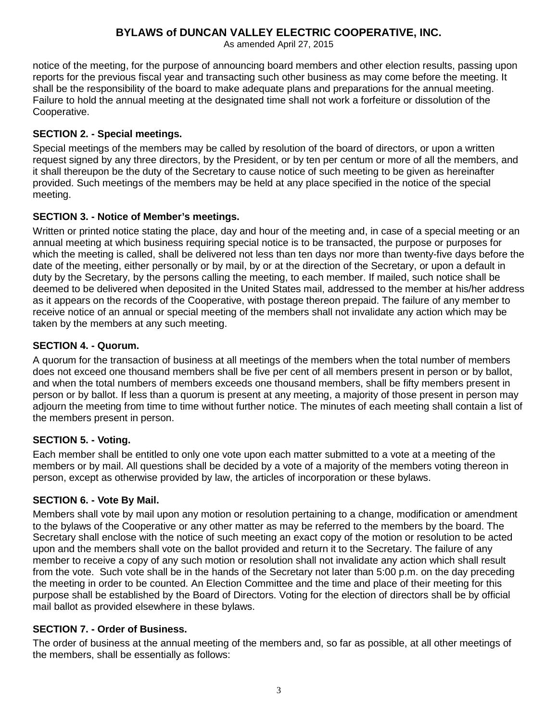As amended April 27, 2015

notice of the meeting, for the purpose of announcing board members and other election results, passing upon reports for the previous fiscal year and transacting such other business as may come before the meeting. It shall be the responsibility of the board to make adequate plans and preparations for the annual meeting. Failure to hold the annual meeting at the designated time shall not work a forfeiture or dissolution of the Cooperative.

### **SECTION 2. - Special meetings.**

Special meetings of the members may be called by resolution of the board of directors, or upon a written request signed by any three directors, by the President, or by ten per centum or more of all the members, and it shall thereupon be the duty of the Secretary to cause notice of such meeting to be given as hereinafter provided. Such meetings of the members may be held at any place specified in the notice of the special meeting.

#### **SECTION 3. - Notice of Member's meetings.**

Written or printed notice stating the place, day and hour of the meeting and, in case of a special meeting or an annual meeting at which business requiring special notice is to be transacted, the purpose or purposes for which the meeting is called, shall be delivered not less than ten days nor more than twenty-five days before the date of the meeting, either personally or by mail, by or at the direction of the Secretary, or upon a default in duty by the Secretary, by the persons calling the meeting, to each member. If mailed, such notice shall be deemed to be delivered when deposited in the United States mail, addressed to the member at his/her address as it appears on the records of the Cooperative, with postage thereon prepaid. The failure of any member to receive notice of an annual or special meeting of the members shall not invalidate any action which may be taken by the members at any such meeting.

#### **SECTION 4. - Quorum.**

A quorum for the transaction of business at all meetings of the members when the total number of members does not exceed one thousand members shall be five per cent of all members present in person or by ballot, and when the total numbers of members exceeds one thousand members, shall be fifty members present in person or by ballot. If less than a quorum is present at any meeting, a majority of those present in person may adjourn the meeting from time to time without further notice. The minutes of each meeting shall contain a list of the members present in person.

## **SECTION 5. - Voting.**

Each member shall be entitled to only one vote upon each matter submitted to a vote at a meeting of the members or by mail. All questions shall be decided by a vote of a majority of the members voting thereon in person, except as otherwise provided by law, the articles of incorporation or these bylaws.

## **SECTION 6. - Vote By Mail.**

Members shall vote by mail upon any motion or resolution pertaining to a change, modification or amendment to the bylaws of the Cooperative or any other matter as may be referred to the members by the board. The Secretary shall enclose with the notice of such meeting an exact copy of the motion or resolution to be acted upon and the members shall vote on the ballot provided and return it to the Secretary. The failure of any member to receive a copy of any such motion or resolution shall not invalidate any action which shall result from the vote. Such vote shall be in the hands of the Secretary not later than 5:00 p.m. on the day preceding the meeting in order to be counted. An Election Committee and the time and place of their meeting for this purpose shall be established by the Board of Directors. Voting for the election of directors shall be by official mail ballot as provided elsewhere in these bylaws.

## **SECTION 7. - Order of Business.**

The order of business at the annual meeting of the members and, so far as possible, at all other meetings of the members, shall be essentially as follows: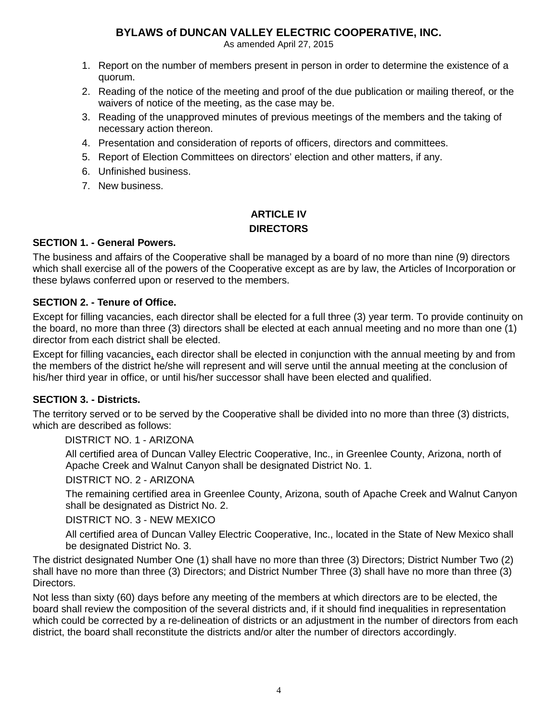As amended April 27, 2015

- 1. Report on the number of members present in person in order to determine the existence of a quorum.
- 2. Reading of the notice of the meeting and proof of the due publication or mailing thereof, or the waivers of notice of the meeting, as the case may be.
- 3. Reading of the unapproved minutes of previous meetings of the members and the taking of necessary action thereon.
- 4. Presentation and consideration of reports of officers, directors and committees.
- 5. Report of Election Committees on directors' election and other matters, if any.
- 6. Unfinished business.
- 7. New business.

# **ARTICLE IV DIRECTORS**

## **SECTION 1. - General Powers.**

The business and affairs of the Cooperative shall be managed by a board of no more than nine (9) directors which shall exercise all of the powers of the Cooperative except as are by law, the Articles of Incorporation or these bylaws conferred upon or reserved to the members.

## **SECTION 2. - Tenure of Office.**

Except for filling vacancies, each director shall be elected for a full three (3) year term. To provide continuity on the board, no more than three (3) directors shall be elected at each annual meeting and no more than one (1) director from each district shall be elected.

Except for filling vacancies, each director shall be elected in conjunction with the annual meeting by and from the members of the district he/she will represent and will serve until the annual meeting at the conclusion of his/her third year in office, or until his/her successor shall have been elected and qualified.

## **SECTION 3. - Districts.**

The territory served or to be served by the Cooperative shall be divided into no more than three (3) districts, which are described as follows:

DISTRICT NO. 1 - ARIZONA

All certified area of Duncan Valley Electric Cooperative, Inc., in Greenlee County, Arizona, north of Apache Creek and Walnut Canyon shall be designated District No. 1.

DISTRICT NO. 2 - ARIZONA

The remaining certified area in Greenlee County, Arizona, south of Apache Creek and Walnut Canyon shall be designated as District No. 2.

DISTRICT NO. 3 - NEW MEXICO

All certified area of Duncan Valley Electric Cooperative, Inc., located in the State of New Mexico shall be designated District No. 3.

The district designated Number One (1) shall have no more than three (3) Directors; District Number Two (2) shall have no more than three (3) Directors; and District Number Three (3) shall have no more than three (3) Directors.

Not less than sixty (60) days before any meeting of the members at which directors are to be elected, the board shall review the composition of the several districts and, if it should find inequalities in representation which could be corrected by a re-delineation of districts or an adjustment in the number of directors from each district, the board shall reconstitute the districts and/or alter the number of directors accordingly.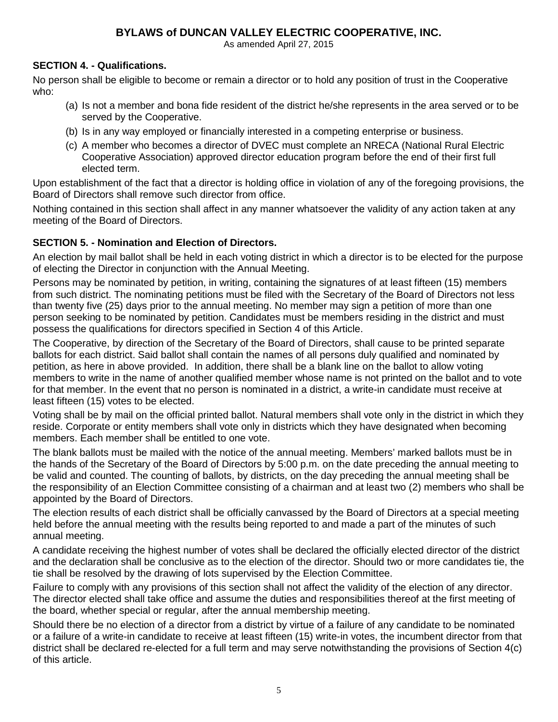As amended April 27, 2015

## **SECTION 4. - Qualifications.**

No person shall be eligible to become or remain a director or to hold any position of trust in the Cooperative who:

- (a) Is not a member and bona fide resident of the district he/she represents in the area served or to be served by the Cooperative.
- (b) Is in any way employed or financially interested in a competing enterprise or business.
- (c) A member who becomes a director of DVEC must complete an NRECA (National Rural Electric Cooperative Association) approved director education program before the end of their first full elected term.

Upon establishment of the fact that a director is holding office in violation of any of the foregoing provisions, the Board of Directors shall remove such director from office.

Nothing contained in this section shall affect in any manner whatsoever the validity of any action taken at any meeting of the Board of Directors.

## **SECTION 5. - Nomination and Election of Directors.**

An election by mail ballot shall be held in each voting district in which a director is to be elected for the purpose of electing the Director in conjunction with the Annual Meeting.

Persons may be nominated by petition, in writing, containing the signatures of at least fifteen (15) members from such district. The nominating petitions must be filed with the Secretary of the Board of Directors not less than twenty five (25) days prior to the annual meeting. No member may sign a petition of more than one person seeking to be nominated by petition. Candidates must be members residing in the district and must possess the qualifications for directors specified in Section 4 of this Article.

The Cooperative, by direction of the Secretary of the Board of Directors, shall cause to be printed separate ballots for each district. Said ballot shall contain the names of all persons duly qualified and nominated by petition, as here in above provided. In addition, there shall be a blank line on the ballot to allow voting members to write in the name of another qualified member whose name is not printed on the ballot and to vote for that member. In the event that no person is nominated in a district, a write-in candidate must receive at least fifteen (15) votes to be elected.

Voting shall be by mail on the official printed ballot. Natural members shall vote only in the district in which they reside. Corporate or entity members shall vote only in districts which they have designated when becoming members. Each member shall be entitled to one vote.

The blank ballots must be mailed with the notice of the annual meeting. Members' marked ballots must be in the hands of the Secretary of the Board of Directors by 5:00 p.m. on the date preceding the annual meeting to be valid and counted. The counting of ballots, by districts, on the day preceding the annual meeting shall be the responsibility of an Election Committee consisting of a chairman and at least two (2) members who shall be appointed by the Board of Directors.

The election results of each district shall be officially canvassed by the Board of Directors at a special meeting held before the annual meeting with the results being reported to and made a part of the minutes of such annual meeting.

A candidate receiving the highest number of votes shall be declared the officially elected director of the district and the declaration shall be conclusive as to the election of the director. Should two or more candidates tie, the tie shall be resolved by the drawing of lots supervised by the Election Committee.

Failure to comply with any provisions of this section shall not affect the validity of the election of any director. The director elected shall take office and assume the duties and responsibilities thereof at the first meeting of the board, whether special or regular, after the annual membership meeting.

Should there be no election of a director from a district by virtue of a failure of any candidate to be nominated or a failure of a write-in candidate to receive at least fifteen (15) write-in votes, the incumbent director from that district shall be declared re-elected for a full term and may serve notwithstanding the provisions of Section 4(c) of this article.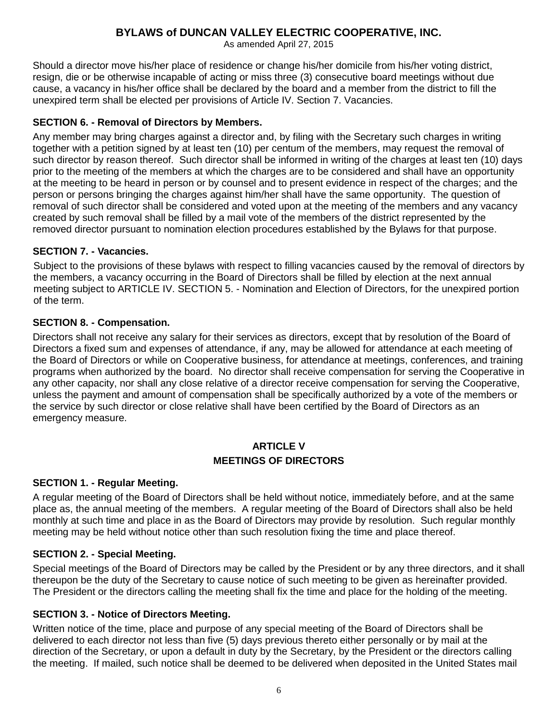As amended April 27, 2015

Should a director move his/her place of residence or change his/her domicile from his/her voting district, resign, die or be otherwise incapable of acting or miss three (3) consecutive board meetings without due cause, a vacancy in his/her office shall be declared by the board and a member from the district to fill the unexpired term shall be elected per provisions of Article IV. Section 7. Vacancies.

### **SECTION 6. - Removal of Directors by Members.**

Any member may bring charges against a director and, by filing with the Secretary such charges in writing together with a petition signed by at least ten (10) per centum of the members, may request the removal of such director by reason thereof. Such director shall be informed in writing of the charges at least ten (10) days prior to the meeting of the members at which the charges are to be considered and shall have an opportunity at the meeting to be heard in person or by counsel and to present evidence in respect of the charges; and the person or persons bringing the charges against him/her shall have the same opportunity. The question of removal of such director shall be considered and voted upon at the meeting of the members and any vacancy created by such removal shall be filled by a mail vote of the members of the district represented by the removed director pursuant to nomination election procedures established by the Bylaws for that purpose.

#### **SECTION 7. - Vacancies.**

Subject to the provisions of these bylaws with respect to filling vacancies caused by the removal of directors by the members, a vacancy occurring in the Board of Directors shall be filled by election at the next annual meeting subject to ARTICLE IV. SECTION 5. - Nomination and Election of Directors, for the unexpired portion of the term.

#### **SECTION 8. - Compensation.**

Directors shall not receive any salary for their services as directors, except that by resolution of the Board of Directors a fixed sum and expenses of attendance, if any, may be allowed for attendance at each meeting of the Board of Directors or while on Cooperative business, for attendance at meetings, conferences, and training programs when authorized by the board. No director shall receive compensation for serving the Cooperative in any other capacity, nor shall any close relative of a director receive compensation for serving the Cooperative, unless the payment and amount of compensation shall be specifically authorized by a vote of the members or the service by such director or close relative shall have been certified by the Board of Directors as an emergency measure.

## **ARTICLE V MEETINGS OF DIRECTORS**

#### **SECTION 1. - Regular Meeting.**

A regular meeting of the Board of Directors shall be held without notice, immediately before, and at the same place as, the annual meeting of the members. A regular meeting of the Board of Directors shall also be held monthly at such time and place in as the Board of Directors may provide by resolution. Such regular monthly meeting may be held without notice other than such resolution fixing the time and place thereof.

#### **SECTION 2. - Special Meeting.**

Special meetings of the Board of Directors may be called by the President or by any three directors, and it shall thereupon be the duty of the Secretary to cause notice of such meeting to be given as hereinafter provided. The President or the directors calling the meeting shall fix the time and place for the holding of the meeting.

#### **SECTION 3. - Notice of Directors Meeting.**

Written notice of the time, place and purpose of any special meeting of the Board of Directors shall be delivered to each director not less than five (5) days previous thereto either personally or by mail at the direction of the Secretary, or upon a default in duty by the Secretary, by the President or the directors calling the meeting. If mailed, such notice shall be deemed to be delivered when deposited in the United States mail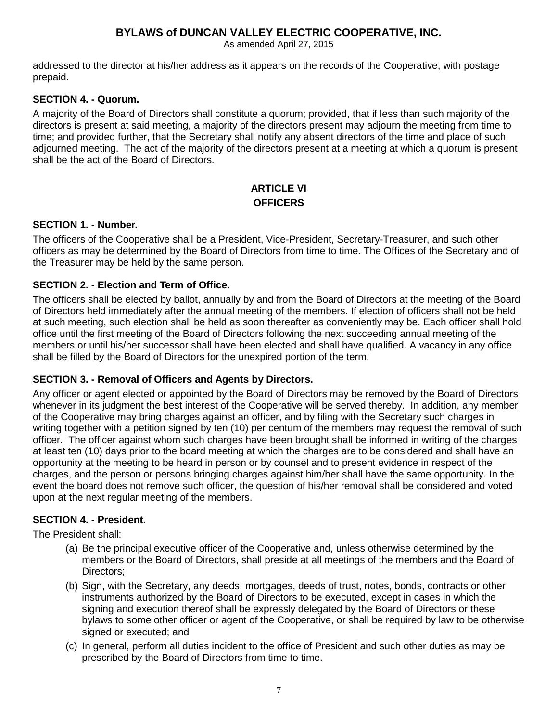As amended April 27, 2015

addressed to the director at his/her address as it appears on the records of the Cooperative, with postage prepaid.

#### **SECTION 4. - Quorum.**

A majority of the Board of Directors shall constitute a quorum; provided, that if less than such majority of the directors is present at said meeting, a majority of the directors present may adjourn the meeting from time to time; and provided further, that the Secretary shall notify any absent directors of the time and place of such adjourned meeting. The act of the majority of the directors present at a meeting at which a quorum is present shall be the act of the Board of Directors.

## **ARTICLE VI OFFICERS**

#### **SECTION 1. - Number.**

The officers of the Cooperative shall be a President, Vice-President, Secretary-Treasurer, and such other officers as may be determined by the Board of Directors from time to time. The Offices of the Secretary and of the Treasurer may be held by the same person.

#### **SECTION 2. - Election and Term of Office.**

The officers shall be elected by ballot, annually by and from the Board of Directors at the meeting of the Board of Directors held immediately after the annual meeting of the members. If election of officers shall not be held at such meeting, such election shall be held as soon thereafter as conveniently may be. Each officer shall hold office until the first meeting of the Board of Directors following the next succeeding annual meeting of the members or until his/her successor shall have been elected and shall have qualified. A vacancy in any office shall be filled by the Board of Directors for the unexpired portion of the term.

#### **SECTION 3. - Removal of Officers and Agents by Directors.**

Any officer or agent elected or appointed by the Board of Directors may be removed by the Board of Directors whenever in its judgment the best interest of the Cooperative will be served thereby. In addition, any member of the Cooperative may bring charges against an officer, and by filing with the Secretary such charges in writing together with a petition signed by ten (10) per centum of the members may request the removal of such officer. The officer against whom such charges have been brought shall be informed in writing of the charges at least ten (10) days prior to the board meeting at which the charges are to be considered and shall have an opportunity at the meeting to be heard in person or by counsel and to present evidence in respect of the charges, and the person or persons bringing charges against him/her shall have the same opportunity. In the event the board does not remove such officer, the question of his/her removal shall be considered and voted upon at the next regular meeting of the members.

#### **SECTION 4. - President.**

The President shall:

- (a) Be the principal executive officer of the Cooperative and, unless otherwise determined by the members or the Board of Directors, shall preside at all meetings of the members and the Board of Directors;
- (b) Sign, with the Secretary, any deeds, mortgages, deeds of trust, notes, bonds, contracts or other instruments authorized by the Board of Directors to be executed, except in cases in which the signing and execution thereof shall be expressly delegated by the Board of Directors or these bylaws to some other officer or agent of the Cooperative, or shall be required by law to be otherwise signed or executed; and
- (c) In general, perform all duties incident to the office of President and such other duties as may be prescribed by the Board of Directors from time to time.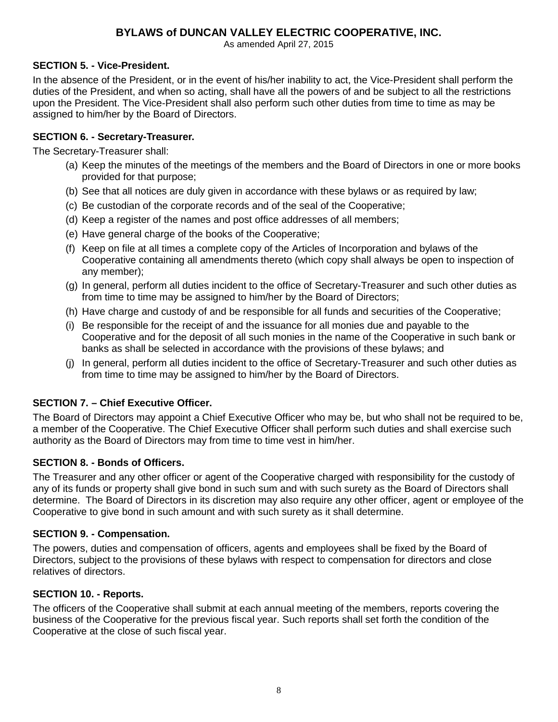As amended April 27, 2015

### **SECTION 5. - Vice-President.**

In the absence of the President, or in the event of his/her inability to act, the Vice-President shall perform the duties of the President, and when so acting, shall have all the powers of and be subject to all the restrictions upon the President. The Vice-President shall also perform such other duties from time to time as may be assigned to him/her by the Board of Directors.

#### **SECTION 6. - Secretary-Treasurer.**

The Secretary-Treasurer shall:

- (a) Keep the minutes of the meetings of the members and the Board of Directors in one or more books provided for that purpose;
- (b) See that all notices are duly given in accordance with these bylaws or as required by law;
- (c) Be custodian of the corporate records and of the seal of the Cooperative;
- (d) Keep a register of the names and post office addresses of all members;
- (e) Have general charge of the books of the Cooperative;
- (f) Keep on file at all times a complete copy of the Articles of Incorporation and bylaws of the Cooperative containing all amendments thereto (which copy shall always be open to inspection of any member);
- (g) In general, perform all duties incident to the office of Secretary-Treasurer and such other duties as from time to time may be assigned to him/her by the Board of Directors;
- (h) Have charge and custody of and be responsible for all funds and securities of the Cooperative;
- (i) Be responsible for the receipt of and the issuance for all monies due and payable to the Cooperative and for the deposit of all such monies in the name of the Cooperative in such bank or banks as shall be selected in accordance with the provisions of these bylaws; and
- (j) In general, perform all duties incident to the office of Secretary-Treasurer and such other duties as from time to time may be assigned to him/her by the Board of Directors.

## **SECTION 7. – Chief Executive Officer.**

The Board of Directors may appoint a Chief Executive Officer who may be, but who shall not be required to be, a member of the Cooperative. The Chief Executive Officer shall perform such duties and shall exercise such authority as the Board of Directors may from time to time vest in him/her.

#### **SECTION 8. - Bonds of Officers.**

The Treasurer and any other officer or agent of the Cooperative charged with responsibility for the custody of any of its funds or property shall give bond in such sum and with such surety as the Board of Directors shall determine. The Board of Directors in its discretion may also require any other officer, agent or employee of the Cooperative to give bond in such amount and with such surety as it shall determine.

#### **SECTION 9. - Compensation.**

The powers, duties and compensation of officers, agents and employees shall be fixed by the Board of Directors, subject to the provisions of these bylaws with respect to compensation for directors and close relatives of directors.

#### **SECTION 10. - Reports.**

The officers of the Cooperative shall submit at each annual meeting of the members, reports covering the business of the Cooperative for the previous fiscal year. Such reports shall set forth the condition of the Cooperative at the close of such fiscal year.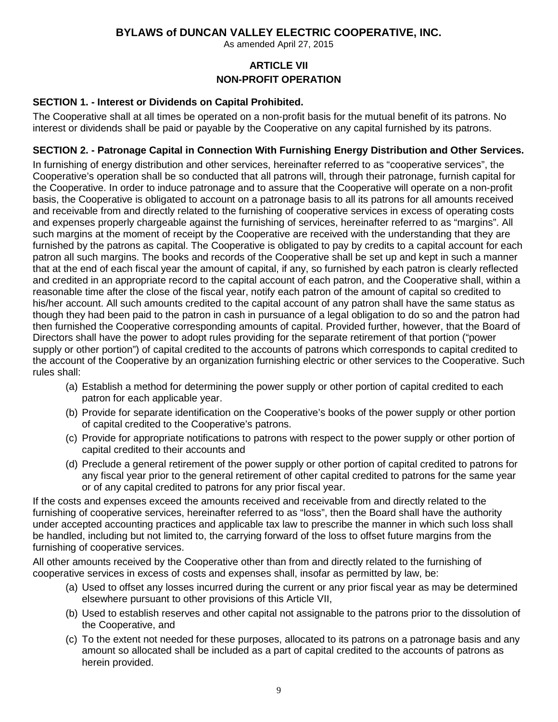As amended April 27, 2015

## **ARTICLE VII NON-PROFIT OPERATION**

#### **SECTION 1. - Interest or Dividends on Capital Prohibited.**

The Cooperative shall at all times be operated on a non-profit basis for the mutual benefit of its patrons. No interest or dividends shall be paid or payable by the Cooperative on any capital furnished by its patrons.

## **SECTION 2. - Patronage Capital in Connection With Furnishing Energy Distribution and Other Services.**

In furnishing of energy distribution and other services, hereinafter referred to as "cooperative services", the Cooperative's operation shall be so conducted that all patrons will, through their patronage, furnish capital for the Cooperative. In order to induce patronage and to assure that the Cooperative will operate on a non-profit basis, the Cooperative is obligated to account on a patronage basis to all its patrons for all amounts received and receivable from and directly related to the furnishing of cooperative services in excess of operating costs and expenses properly chargeable against the furnishing of services, hereinafter referred to as "margins". All such margins at the moment of receipt by the Cooperative are received with the understanding that they are furnished by the patrons as capital. The Cooperative is obligated to pay by credits to a capital account for each patron all such margins. The books and records of the Cooperative shall be set up and kept in such a manner that at the end of each fiscal year the amount of capital, if any, so furnished by each patron is clearly reflected and credited in an appropriate record to the capital account of each patron, and the Cooperative shall, within a reasonable time after the close of the fiscal year, notify each patron of the amount of capital so credited to his/her account. All such amounts credited to the capital account of any patron shall have the same status as though they had been paid to the patron in cash in pursuance of a legal obligation to do so and the patron had then furnished the Cooperative corresponding amounts of capital. Provided further, however, that the Board of Directors shall have the power to adopt rules providing for the separate retirement of that portion ("power supply or other portion") of capital credited to the accounts of patrons which corresponds to capital credited to the account of the Cooperative by an organization furnishing electric or other services to the Cooperative. Such rules shall:

- (a) Establish a method for determining the power supply or other portion of capital credited to each patron for each applicable year.
- (b) Provide for separate identification on the Cooperative's books of the power supply or other portion of capital credited to the Cooperative's patrons.
- (c) Provide for appropriate notifications to patrons with respect to the power supply or other portion of capital credited to their accounts and
- (d) Preclude a general retirement of the power supply or other portion of capital credited to patrons for any fiscal year prior to the general retirement of other capital credited to patrons for the same year or of any capital credited to patrons for any prior fiscal year.

If the costs and expenses exceed the amounts received and receivable from and directly related to the furnishing of cooperative services, hereinafter referred to as "loss", then the Board shall have the authority under accepted accounting practices and applicable tax law to prescribe the manner in which such loss shall be handled, including but not limited to, the carrying forward of the loss to offset future margins from the furnishing of cooperative services.

All other amounts received by the Cooperative other than from and directly related to the furnishing of cooperative services in excess of costs and expenses shall, insofar as permitted by law, be:

- (a) Used to offset any losses incurred during the current or any prior fiscal year as may be determined elsewhere pursuant to other provisions of this Article VII,
- (b) Used to establish reserves and other capital not assignable to the patrons prior to the dissolution of the Cooperative, and
- (c) To the extent not needed for these purposes, allocated to its patrons on a patronage basis and any amount so allocated shall be included as a part of capital credited to the accounts of patrons as herein provided.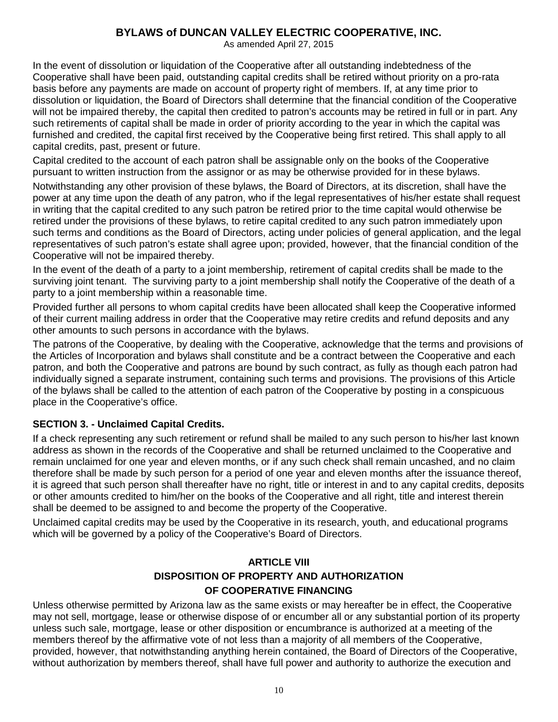As amended April 27, 2015

In the event of dissolution or liquidation of the Cooperative after all outstanding indebtedness of the Cooperative shall have been paid, outstanding capital credits shall be retired without priority on a pro-rata basis before any payments are made on account of property right of members. If, at any time prior to dissolution or liquidation, the Board of Directors shall determine that the financial condition of the Cooperative will not be impaired thereby, the capital then credited to patron's accounts may be retired in full or in part. Any such retirements of capital shall be made in order of priority according to the year in which the capital was furnished and credited, the capital first received by the Cooperative being first retired. This shall apply to all capital credits, past, present or future.

Capital credited to the account of each patron shall be assignable only on the books of the Cooperative pursuant to written instruction from the assignor or as may be otherwise provided for in these bylaws.

Notwithstanding any other provision of these bylaws, the Board of Directors, at its discretion, shall have the power at any time upon the death of any patron, who if the legal representatives of his/her estate shall request in writing that the capital credited to any such patron be retired prior to the time capital would otherwise be retired under the provisions of these bylaws, to retire capital credited to any such patron immediately upon such terms and conditions as the Board of Directors, acting under policies of general application, and the legal representatives of such patron's estate shall agree upon; provided, however, that the financial condition of the Cooperative will not be impaired thereby.

In the event of the death of a party to a joint membership, retirement of capital credits shall be made to the surviving joint tenant. The surviving party to a joint membership shall notify the Cooperative of the death of a party to a joint membership within a reasonable time.

Provided further all persons to whom capital credits have been allocated shall keep the Cooperative informed of their current mailing address in order that the Cooperative may retire credits and refund deposits and any other amounts to such persons in accordance with the bylaws.

The patrons of the Cooperative, by dealing with the Cooperative, acknowledge that the terms and provisions of the Articles of Incorporation and bylaws shall constitute and be a contract between the Cooperative and each patron, and both the Cooperative and patrons are bound by such contract, as fully as though each patron had individually signed a separate instrument, containing such terms and provisions. The provisions of this Article of the bylaws shall be called to the attention of each patron of the Cooperative by posting in a conspicuous place in the Cooperative's office.

## **SECTION 3. - Unclaimed Capital Credits.**

If a check representing any such retirement or refund shall be mailed to any such person to his/her last known address as shown in the records of the Cooperative and shall be returned unclaimed to the Cooperative and remain unclaimed for one year and eleven months, or if any such check shall remain uncashed, and no claim therefore shall be made by such person for a period of one year and eleven months after the issuance thereof, it is agreed that such person shall thereafter have no right, title or interest in and to any capital credits, deposits or other amounts credited to him/her on the books of the Cooperative and all right, title and interest therein shall be deemed to be assigned to and become the property of the Cooperative.

Unclaimed capital credits may be used by the Cooperative in its research, youth, and educational programs which will be governed by a policy of the Cooperative's Board of Directors.

# **ARTICLE VIII DISPOSITION OF PROPERTY AND AUTHORIZATION OF COOPERATIVE FINANCING**

Unless otherwise permitted by Arizona law as the same exists or may hereafter be in effect, the Cooperative may not sell, mortgage, lease or otherwise dispose of or encumber all or any substantial portion of its property unless such sale, mortgage, lease or other disposition or encumbrance is authorized at a meeting of the members thereof by the affirmative vote of not less than a majority of all members of the Cooperative, provided, however, that notwithstanding anything herein contained, the Board of Directors of the Cooperative, without authorization by members thereof, shall have full power and authority to authorize the execution and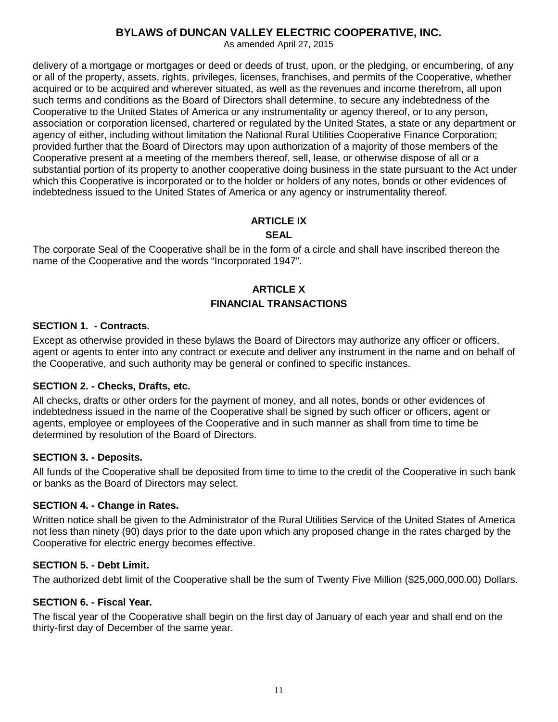As amended April 27, 2015

delivery of a mortgage or mortgages or deed or deeds of trust, upon, or the pledging, or encumbering, of any or all of the property, assets, rights, privileges, licenses, franchises, and permits of the Cooperative, whether acquired or to be acquired and wherever situated, as well as the revenues and income therefrom, all upon such terms and conditions as the Board of Directors shall determine, to secure any indebtedness of the Cooperative to the United States of America or any instrumentality or agency thereof, or to any person, association or corporation licensed, chartered or regulated by the United States, a state or any department or agency of either, including without limitation the National Rural Utilities Cooperative Finance Corporation; provided further that the Board of Directors may upon authorization of a majority of those members of the Cooperative present at a meeting of the members thereof, sell, lease, or otherwise dispose of all or a substantial portion of its property to another cooperative doing business in the state pursuant to the Act under which this Cooperative is incorporated or to the holder or holders of any notes, bonds or other evidences of indebtedness issued to the United States of America or any agency or instrumentality thereof.

# **ARTICLE IX**

#### **SEAL**

The corporate Seal of the Cooperative shall be in the form of a circle and shall have inscribed thereon the name of the Cooperative and the words "Incorporated 1947".

## **ARTICLE X FINANCIAL TRANSACTIONS**

#### **SECTION 1. - Contracts.**

Except as otherwise provided in these bylaws the Board of Directors may authorize any officer or officers, agent or agents to enter into any contract or execute and deliver any instrument in the name and on behalf of the Cooperative, and such authority may be general or confined to specific instances.

#### **SECTION 2. - Checks, Drafts, etc.**

All checks, drafts or other orders for the payment of money, and all notes, bonds or other evidences of indebtedness issued in the name of the Cooperative shall be signed by such officer or officers, agent or agents, employee or employees of the Cooperative and in such manner as shall from time to time be determined by resolution of the Board of Directors.

#### **SECTION 3. - Deposits.**

All funds of the Cooperative shall be deposited from time to time to the credit of the Cooperative in such bank or banks as the Board of Directors may select.

#### **SECTION 4. - Change in Rates.**

Written notice shall be given to the Administrator of the Rural Utilities Service of the United States of America not less than ninety (90) days prior to the date upon which any proposed change in the rates charged by the Cooperative for electric energy becomes effective.

#### **SECTION 5. - Debt Limit.**

The authorized debt limit of the Cooperative shall be the sum of Twenty Five Million (\$25,000,000.00) Dollars.

#### **SECTION 6. - Fiscal Year.**

The fiscal year of the Cooperative shall begin on the first day of January of each year and shall end on the thirty-first day of December of the same year.